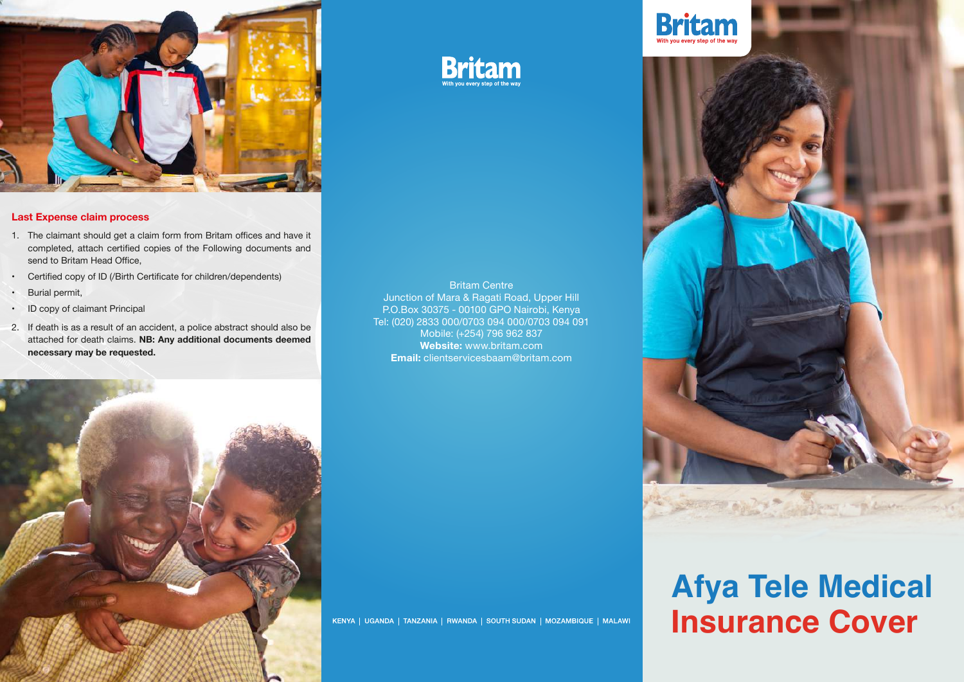

#### **Last Expense claim process**

- 1. The claimant should get a claim form from Britam offices and have it completed, attach certified copies of the Following documents and send to Britam Head Office,
- Certified copy of ID (/Birth Certificate for children/dependents)
- Burial permit,
- ID copy of claimant Principal
- 2. If death is as a result of an accident, a police abstract should also be attached for death claims. **NB: Any additional documents deemed necessary may be requested.**

Britam Centre Junction of Mara & Ragati Road, Upper Hill P.O.Box 30375 - 00100 GPO Nairobi, Kenya Tel: (020) 2833 000/0703 094 000/0703 094 091 Mobile: (+254) 796 962 837 **Website:** www.britam.com **Email:** clientservicesbaam@britam.com

**Britam** 



KENYA | UGANDA | TANZANIA | RWANDA | SOUTH SUDAN | MOZAMBIQUE | MALAWI





# **Afya Tele Medical Insurance Cover**